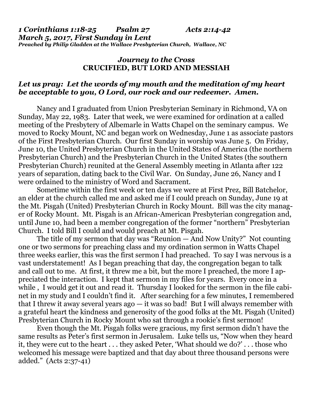*1 Corinthians 1:18-25 Psalm 27 Acts 2:14-42 March 5, 2017, First Sunday in Lent Preached by Philip Gladden at the Wallace Presbyterian Church, Wallace, NC* 

### *Journey to the Cross* **CRUCIFIED, BUT LORD AND MESSIAH**

## *Let us pray: Let the words of my mouth and the meditation of my heart be acceptable to you, O Lord, our rock and our redeemer. Amen.*

Nancy and I graduated from Union Presbyterian Seminary in Richmond, VA on Sunday, May 22, 1983. Later that week, we were examined for ordination at a called meeting of the Presbytery of Albemarle in Watts Chapel on the seminary campus. We moved to Rocky Mount, NC and began work on Wednesday, June 1 as associate pastors of the First Presbyterian Church. Our first Sunday in worship was June 5. On Friday, June 10, the United Presbyterian Church in the United States of America (the northern Presbyterian Church) and the Presbyterian Church in the United States (the southern Presbyterian Church) reunited at the General Assembly meeting in Atlanta after 122 years of separation, dating back to the Civil War. On Sunday, June 26, Nancy and I were ordained to the ministry of Word and Sacrament.

Sometime within the first week or ten days we were at First Prez, Bill Batchelor, an elder at the church called me and asked me if I could preach on Sunday, June 19 at the Mt. Pisgah (United) Presbyterian Church in Rocky Mount. Bill was the city manager of Rocky Mount. Mt. Pisgah is an African-American Presbyterian congregation and, until June 10, had been a member congregation of the former "northern" Presbyterian Church. I told Bill I could and would preach at Mt. Pisgah.

The title of my sermon that day was "Reunion — And Now Unity?" Not counting one or two sermons for preaching class and my ordination sermon in Watts Chapel three weeks earlier, this was the first sermon I had preached. To say I was nervous is a vast understatement! As I began preaching that day, the congregation began to talk and call out to me. At first, it threw me a bit, but the more I preached, the more I appreciated the interaction. I kept that sermon in my files for years. Every once in a while, I would get it out and read it. Thursday I looked for the sermon in the file cabinet in my study and I couldn't find it. After searching for a few minutes, I remembered that I threw it away several years  $ago - it$  was so bad! But I will always remember with a grateful heart the kindness and generosity of the good folks at the Mt. Pisgah (United) Presbyterian Church in Rocky Mount who sat through a rookie's first sermon!

Even though the Mt. Pisgah folks were gracious, my first sermon didn't have the same results as Peter's first sermon in Jerusalem. Luke tells us, "Now when they heard it, they were cut to the heart . . . they asked Peter, 'What should we do?' . . . those who welcomed his message were baptized and that day about three thousand persons were added." (Acts 2:37-41)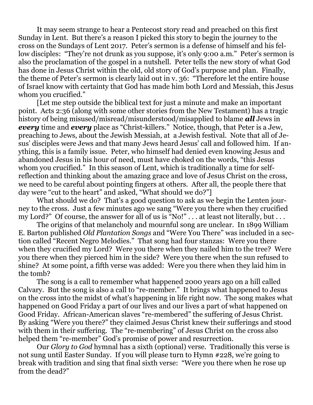It may seem strange to hear a Pentecost story read and preached on this first Sunday in Lent. But there's a reason I picked this story to begin the journey to the cross on the Sundays of Lent 2017. Peter's sermon is a defense of himself and his fellow disciples: "They're not drunk as you suppose, it's only 9:00 a.m." Peter's sermon is also the proclamation of the gospel in a nutshell. Peter tells the new story of what God has done in Jesus Christ within the old, old story of God's purpose and plan. Finally, the theme of Peter's sermon is clearly laid out in v. 36: "Therefore let the entire house of Israel know with certainty that God has made him both Lord and Messiah, this Jesus whom you crucified."

[Let me step outside the biblical text for just a minute and make an important point. Acts 2:36 (along with some other stories from the New Testament) has a tragic history of being misused/misread/misunderstood/misapplied to blame *all* Jews in *every* time and *every* place as "Christ-killers." Notice, though, that Peter is a Jew, preaching to Jews, about the Jewish Messiah, at a Jewish festival. Note that all of Jesus' disciples were Jews and that many Jews heard Jesus' call and followed him. If anything, this is a family issue. Peter, who himself had denied even knowing Jesus and abandoned Jesus in his hour of need, must have choked on the words, "this Jesus whom you crucified." In this season of Lent, which is traditionally a time for selfreflection and thinking about the amazing grace and love of Jesus Christ on the cross, we need to be careful about pointing fingers at others. After all, the people there that day were "cut to the heart" and asked, "What should we do?"]

What should we do? That's a good question to ask as we begin the Lenten journey to the cross. Just a few minutes ago we sang "Were you there when they crucified my Lord?" Of course, the answer for all of us is "No!" . . . at least not literally, but . . .

The origins of that melancholy and mournful song are unclear. In 1899 William E. Barton published *Old Plantation Songs* and "Were You There" was included in a section called "Recent Negro Melodies." That song had four stanzas: Were you there when they crucified my Lord? Were you there when they nailed him to the tree? Were you there when they pierced him in the side? Were you there when the sun refused to shine? At some point, a fifth verse was added: Were you there when they laid him in the tomb?

The song is a call to remember what happened 2000 years ago on a hill called Calvary. But the song is also a call to "re-member." It brings what happened to Jesus on the cross into the midst of what's happening in life right now. The song makes what happened on Good Friday a part of our lives and our lives a part of what happened on Good Friday. African-American slaves "re-membered" the suffering of Jesus Christ. By asking "Were you there?" they claimed Jesus Christ knew their sufferings and stood with them in their suffering. The "re-membering" of Jesus Christ on the cross also helped them "re-member" God's promise of power and resurrection.

Our *Glory to God* hymnal has a sixth (optional) verse. Traditionally this verse is not sung until Easter Sunday. If you will please turn to Hymn #228, we're going to break with tradition and sing that final sixth verse: "Were you there when he rose up from the dead?"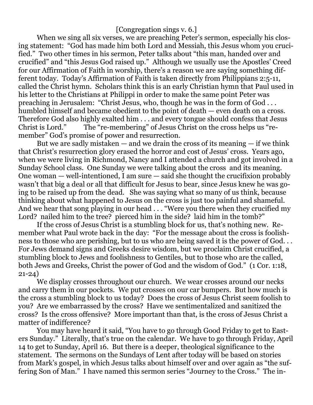# [Congregation sings v. 6.]

When we sing all six verses, we are preaching Peter's sermon, especially his closing statement: "God has made him both Lord and Messiah, this Jesus whom you crucified." Two other times in his sermon, Peter talks about "this man, handed over and crucified" and "this Jesus God raised up." Although we usually use the Apostles' Creed for our Affirmation of Faith in worship, there's a reason we are saying something different today. Today's Affirmation of Faith is taken directly from Philippians 2:5-11, called the Christ hymn. Scholars think this is an early Christian hymn that Paul used in his letter to the Christians at Philippi in order to make the same point Peter was preaching in Jerusalem: "Christ Jesus, who, though he was in the form of God . . . humbled himself and became obedient to the point of death — even death on a cross. Therefore God also highly exalted him . . . and every tongue should confess that Jesus Christ is Lord." The "re-membering" of Jesus Christ on the cross helps us "remember" God's promise of power and resurrection.

But we are sadly mistaken — and we drain the cross of its meaning — if we think that Christ's resurrection glory erased the horror and cost of Jesus' cross. Years ago, when we were living in Richmond, Nancy and I attended a church and got involved in a Sunday School class. One Sunday we were talking about the cross and its meaning. One woman — well-intentioned, I am sure — said she thought the crucifixion probably wasn't that big a deal or all that difficult for Jesus to bear, since Jesus knew he was going to be raised up from the dead. She was saying what so many of us think, because thinking about what happened to Jesus on the cross is just too painful and shameful. And we hear that song playing in our head . . . "Were you there when they crucified my Lord? nailed him to the tree? pierced him in the side? laid him in the tomb?"

If the cross of Jesus Christ is a stumbling block for us, that's nothing new. Remember what Paul wrote back in the day: "For the message about the cross is foolishness to those who are perishing, but to us who are being saved it is the power of God. . . For Jews demand signs and Greeks desire wisdom, but we proclaim Christ crucified, a stumbling block to Jews and foolishness to Gentiles, but to those who are the called, both Jews and Greeks, Christ the power of God and the wisdom of God." (1 Cor. 1:18, 21-24)

We display crosses throughout our church. We wear crosses around our necks and carry them in our pockets. We put crosses on our car bumpers. But how much is the cross a stumbling block to us today? Does the cross of Jesus Christ seem foolish to you? Are we embarrassed by the cross? Have we sentimentalized and sanitized the cross? Is the cross offensive? More important than that, is the cross of Jesus Christ a matter of indifference?

You may have heard it said, "You have to go through Good Friday to get to Easters Sunday." Literally, that's true on the calendar. We have to go through Friday, April 14 to get to Sunday, April 16. But there is a deeper, theological significance to the statement. The sermons on the Sundays of Lent after today will be based on stories from Mark's gospel, in which Jesus talks about himself over and over again as "the suffering Son of Man." I have named this sermon series "Journey to the Cross." The in